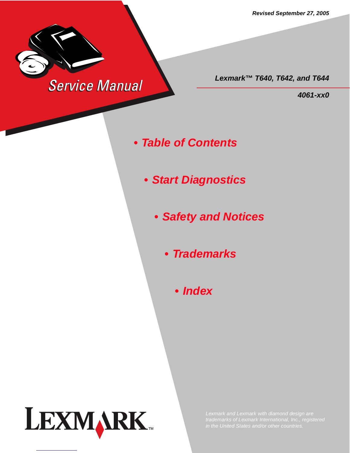*Revised September 27, 2005*



*Lexmark™ T640, T642, and T644*

*4061-xx0*

- *Table of Contents*
	- *Start Diagnostics*
		- *Safety and Notices*
			- *Trademarks*
				- *Index*

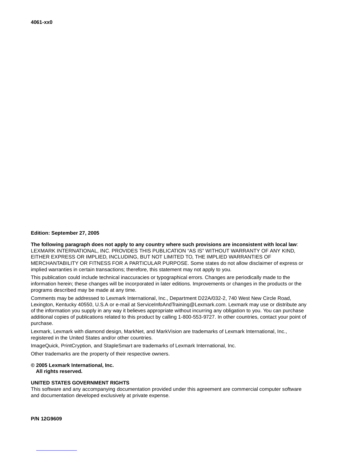## **Edition: September 27, 2005**

**The following paragraph does not apply to any country where such provisions are inconsistent with local law**: LEXMARK INTERNATIONAL, INC. PROVIDES THIS PUBLICATION "AS IS" WITHOUT WARRANTY OF ANY KIND, EITHER EXPRESS OR IMPLIED, INCLUDING, BUT NOT LIMITED TO, THE IMPLIED WARRANTIES OF MERCHANTABILITY OR FITNESS FOR A PARTICULAR PURPOSE. Some states do not allow disclaimer of express or implied warranties in certain transactions; therefore, this statement may not apply to you.

This publication could include technical inaccuracies or typographical errors. Changes are periodically made to the information herein; these changes will be incorporated in later editions. Improvements or changes in the products or the programs described may be made at any time.

Comments may be addressed to Lexmark International, Inc., Department D22A/032-2, 740 West New Circle Road, Lexington, Kentucky 40550, U.S.A or e-mail at ServiceInfoAndTraining@Lexmark.com. Lexmark may use or distribute any of the information you supply in any way it believes appropriate without incurring any obligation to you. You can purchase additional copies of publications related to this product by calling 1-800-553-9727. In other countries, contact your point of purchase.

Lexmark, Lexmark with diamond design, MarkNet, and MarkVision are trademarks of Lexmark International, Inc., registered in the United States and/or other countries.

ImageQuick, PrintCryption, and StapleSmart are trademarks of Lexmark International, Inc.

Other trademarks are the property of their respective owners.

## **© 2005 Lexmark International, Inc.**

**All rights reserved.**

## **UNITED STATES GOVERNMENT RIGHTS**

This software and any accompanying documentation provided under this agreement are commercial computer software and documentation developed exclusively at private expense.

**P/N 12G9609**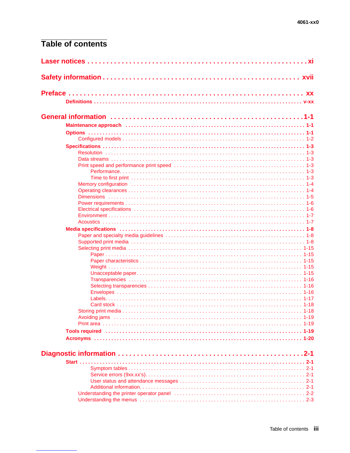## Table of contents

|  | Maintenance approach (and according to the control of the control of the main factor of the main factor of the                                                                                                                 |  |  |
|--|--------------------------------------------------------------------------------------------------------------------------------------------------------------------------------------------------------------------------------|--|--|
|  |                                                                                                                                                                                                                                |  |  |
|  |                                                                                                                                                                                                                                |  |  |
|  |                                                                                                                                                                                                                                |  |  |
|  |                                                                                                                                                                                                                                |  |  |
|  |                                                                                                                                                                                                                                |  |  |
|  |                                                                                                                                                                                                                                |  |  |
|  |                                                                                                                                                                                                                                |  |  |
|  |                                                                                                                                                                                                                                |  |  |
|  | Memory configuration in the contract of the contract of the contract of the contract of the contract of the contract of the contract of the contract of the contract of the contract of the contract of the contract of the co |  |  |
|  |                                                                                                                                                                                                                                |  |  |
|  |                                                                                                                                                                                                                                |  |  |
|  |                                                                                                                                                                                                                                |  |  |
|  |                                                                                                                                                                                                                                |  |  |
|  |                                                                                                                                                                                                                                |  |  |
|  |                                                                                                                                                                                                                                |  |  |
|  |                                                                                                                                                                                                                                |  |  |
|  |                                                                                                                                                                                                                                |  |  |
|  |                                                                                                                                                                                                                                |  |  |
|  |                                                                                                                                                                                                                                |  |  |
|  |                                                                                                                                                                                                                                |  |  |
|  |                                                                                                                                                                                                                                |  |  |
|  |                                                                                                                                                                                                                                |  |  |
|  |                                                                                                                                                                                                                                |  |  |
|  |                                                                                                                                                                                                                                |  |  |
|  |                                                                                                                                                                                                                                |  |  |
|  |                                                                                                                                                                                                                                |  |  |
|  |                                                                                                                                                                                                                                |  |  |
|  |                                                                                                                                                                                                                                |  |  |
|  |                                                                                                                                                                                                                                |  |  |
|  |                                                                                                                                                                                                                                |  |  |
|  |                                                                                                                                                                                                                                |  |  |
|  |                                                                                                                                                                                                                                |  |  |
|  |                                                                                                                                                                                                                                |  |  |
|  |                                                                                                                                                                                                                                |  |  |
|  |                                                                                                                                                                                                                                |  |  |
|  |                                                                                                                                                                                                                                |  |  |
|  |                                                                                                                                                                                                                                |  |  |
|  |                                                                                                                                                                                                                                |  |  |
|  |                                                                                                                                                                                                                                |  |  |
|  |                                                                                                                                                                                                                                |  |  |
|  |                                                                                                                                                                                                                                |  |  |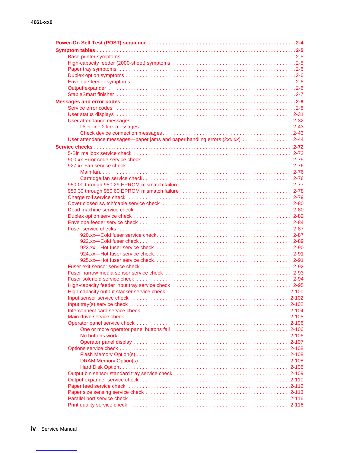| User attendance messages—paper jams and paper handling errors (2xx.xx) 2-44                                                                                                                                                   |
|-------------------------------------------------------------------------------------------------------------------------------------------------------------------------------------------------------------------------------|
|                                                                                                                                                                                                                               |
|                                                                                                                                                                                                                               |
|                                                                                                                                                                                                                               |
|                                                                                                                                                                                                                               |
|                                                                                                                                                                                                                               |
|                                                                                                                                                                                                                               |
|                                                                                                                                                                                                                               |
|                                                                                                                                                                                                                               |
|                                                                                                                                                                                                                               |
|                                                                                                                                                                                                                               |
|                                                                                                                                                                                                                               |
|                                                                                                                                                                                                                               |
|                                                                                                                                                                                                                               |
|                                                                                                                                                                                                                               |
|                                                                                                                                                                                                                               |
|                                                                                                                                                                                                                               |
|                                                                                                                                                                                                                               |
|                                                                                                                                                                                                                               |
|                                                                                                                                                                                                                               |
|                                                                                                                                                                                                                               |
|                                                                                                                                                                                                                               |
|                                                                                                                                                                                                                               |
|                                                                                                                                                                                                                               |
|                                                                                                                                                                                                                               |
|                                                                                                                                                                                                                               |
|                                                                                                                                                                                                                               |
|                                                                                                                                                                                                                               |
|                                                                                                                                                                                                                               |
|                                                                                                                                                                                                                               |
|                                                                                                                                                                                                                               |
|                                                                                                                                                                                                                               |
|                                                                                                                                                                                                                               |
|                                                                                                                                                                                                                               |
|                                                                                                                                                                                                                               |
|                                                                                                                                                                                                                               |
|                                                                                                                                                                                                                               |
|                                                                                                                                                                                                                               |
|                                                                                                                                                                                                                               |
|                                                                                                                                                                                                                               |
|                                                                                                                                                                                                                               |
|                                                                                                                                                                                                                               |
|                                                                                                                                                                                                                               |
| Print quality service check influences in the contract of the contract of the contract of the contract of the contract of the contract of the contract of the contract of the contract of the contract of the contract of the |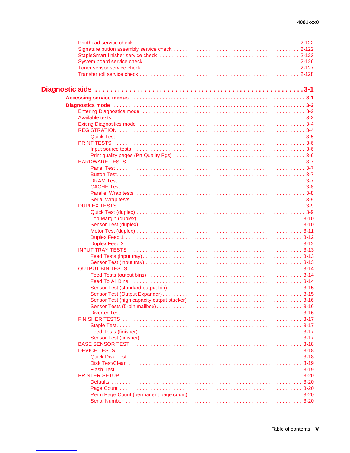| Diagnostics mode (and according to the control of the control of the control of the control of the control of the control of the control of the control of the control of the control of the control of the control of the con |
|--------------------------------------------------------------------------------------------------------------------------------------------------------------------------------------------------------------------------------|
|                                                                                                                                                                                                                                |
|                                                                                                                                                                                                                                |
|                                                                                                                                                                                                                                |
|                                                                                                                                                                                                                                |
|                                                                                                                                                                                                                                |
|                                                                                                                                                                                                                                |
|                                                                                                                                                                                                                                |
|                                                                                                                                                                                                                                |
|                                                                                                                                                                                                                                |
|                                                                                                                                                                                                                                |
|                                                                                                                                                                                                                                |
|                                                                                                                                                                                                                                |
|                                                                                                                                                                                                                                |
|                                                                                                                                                                                                                                |
|                                                                                                                                                                                                                                |
|                                                                                                                                                                                                                                |
|                                                                                                                                                                                                                                |
|                                                                                                                                                                                                                                |
|                                                                                                                                                                                                                                |
|                                                                                                                                                                                                                                |
|                                                                                                                                                                                                                                |
|                                                                                                                                                                                                                                |
|                                                                                                                                                                                                                                |
|                                                                                                                                                                                                                                |
|                                                                                                                                                                                                                                |
|                                                                                                                                                                                                                                |
|                                                                                                                                                                                                                                |
|                                                                                                                                                                                                                                |
|                                                                                                                                                                                                                                |
|                                                                                                                                                                                                                                |
|                                                                                                                                                                                                                                |
|                                                                                                                                                                                                                                |
|                                                                                                                                                                                                                                |
|                                                                                                                                                                                                                                |
|                                                                                                                                                                                                                                |
|                                                                                                                                                                                                                                |
|                                                                                                                                                                                                                                |
|                                                                                                                                                                                                                                |
|                                                                                                                                                                                                                                |
|                                                                                                                                                                                                                                |
|                                                                                                                                                                                                                                |
|                                                                                                                                                                                                                                |
|                                                                                                                                                                                                                                |
|                                                                                                                                                                                                                                |
|                                                                                                                                                                                                                                |
|                                                                                                                                                                                                                                |
|                                                                                                                                                                                                                                |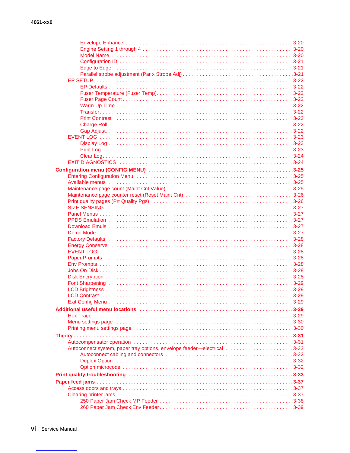| Autoconnect system, paper tray options, envelope feeder—electrical 3-32 |  |
|-------------------------------------------------------------------------|--|
|                                                                         |  |
|                                                                         |  |
|                                                                         |  |
|                                                                         |  |
|                                                                         |  |
|                                                                         |  |
|                                                                         |  |
|                                                                         |  |
|                                                                         |  |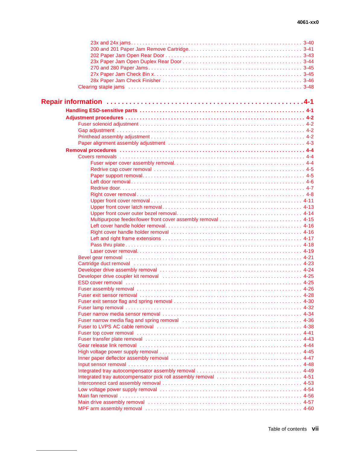| Cartridge duct removal in the contract of the contract of the contract of the contract of the 4-23                                                                                                                            |
|-------------------------------------------------------------------------------------------------------------------------------------------------------------------------------------------------------------------------------|
|                                                                                                                                                                                                                               |
|                                                                                                                                                                                                                               |
|                                                                                                                                                                                                                               |
|                                                                                                                                                                                                                               |
|                                                                                                                                                                                                                               |
|                                                                                                                                                                                                                               |
|                                                                                                                                                                                                                               |
|                                                                                                                                                                                                                               |
|                                                                                                                                                                                                                               |
|                                                                                                                                                                                                                               |
|                                                                                                                                                                                                                               |
|                                                                                                                                                                                                                               |
|                                                                                                                                                                                                                               |
|                                                                                                                                                                                                                               |
|                                                                                                                                                                                                                               |
| Inner paper deflector assembly removal contained and contained and the state of 4-47                                                                                                                                          |
|                                                                                                                                                                                                                               |
|                                                                                                                                                                                                                               |
|                                                                                                                                                                                                                               |
|                                                                                                                                                                                                                               |
|                                                                                                                                                                                                                               |
|                                                                                                                                                                                                                               |
| Main drive assembly removal contact to contact the contact of the state of the state of the state of the state of the state of the state of the state of the state of the state of the state of the state of the state of the |
|                                                                                                                                                                                                                               |
|                                                                                                                                                                                                                               |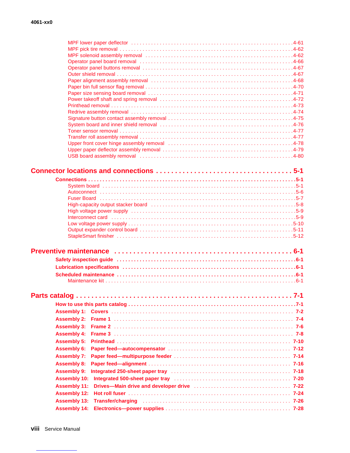| Operator panel board removal contract contract contract to the contract of the AG6                             |     |
|----------------------------------------------------------------------------------------------------------------|-----|
|                                                                                                                |     |
|                                                                                                                |     |
|                                                                                                                |     |
|                                                                                                                |     |
|                                                                                                                |     |
|                                                                                                                |     |
|                                                                                                                |     |
|                                                                                                                |     |
|                                                                                                                |     |
|                                                                                                                |     |
| Upper front cover hinge assembly removal contained and contained as the set of 4-78                            |     |
|                                                                                                                |     |
| USB board assembly removal contract to contact the contract of the set of the set of the set of the set of the |     |
|                                                                                                                |     |
|                                                                                                                |     |
|                                                                                                                |     |
|                                                                                                                |     |
|                                                                                                                |     |
|                                                                                                                |     |
|                                                                                                                |     |
|                                                                                                                |     |
|                                                                                                                |     |
|                                                                                                                |     |
|                                                                                                                |     |
|                                                                                                                |     |
|                                                                                                                |     |
|                                                                                                                |     |
| Lubrication specifications (1) 1996 (1) 1997 (1) 1997 (1) 1998 (1) 1998 (1) 1998 (1) 1998 (1) 1998 (1) 1999 (1 |     |
|                                                                                                                |     |
|                                                                                                                |     |
|                                                                                                                |     |
|                                                                                                                |     |
|                                                                                                                | 7-1 |
|                                                                                                                |     |
|                                                                                                                |     |
|                                                                                                                |     |
| <b>Assembly 2:</b>                                                                                             |     |
| <b>Assembly 3:</b>                                                                                             |     |
| <b>Assembly 4:</b>                                                                                             |     |
| <b>Assembly 5:</b>                                                                                             |     |
| <b>Assembly 6:</b>                                                                                             |     |
| <b>Assembly 7:</b>                                                                                             |     |
| <b>Assembly 8:</b>                                                                                             |     |
| <b>Assembly 9:</b><br>Integrated 250-sheet paper tray electron contracts and the contracts of 7-18             |     |
| <b>Assembly 10:</b>                                                                                            |     |
| <b>Assembly 11:</b>                                                                                            |     |
| <b>Assembly 12:</b>                                                                                            |     |
| <b>Assembly 13:</b><br><b>Assembly 14:</b>                                                                     |     |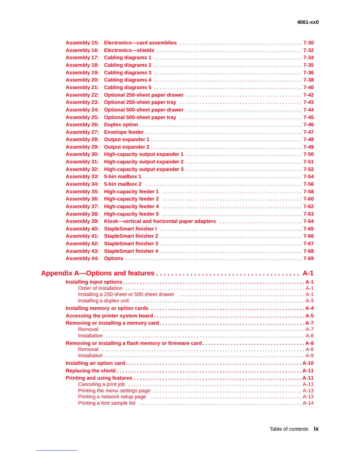| <b>Assembly 15:</b> |                                                                                                                                                                                                                                    |  |
|---------------------|------------------------------------------------------------------------------------------------------------------------------------------------------------------------------------------------------------------------------------|--|
| <b>Assembly 16:</b> |                                                                                                                                                                                                                                    |  |
| <b>Assembly 17:</b> |                                                                                                                                                                                                                                    |  |
| <b>Assembly 18:</b> |                                                                                                                                                                                                                                    |  |
| <b>Assembly 19:</b> |                                                                                                                                                                                                                                    |  |
| <b>Assembly 20:</b> |                                                                                                                                                                                                                                    |  |
| <b>Assembly 21:</b> |                                                                                                                                                                                                                                    |  |
| <b>Assembly 22:</b> |                                                                                                                                                                                                                                    |  |
| <b>Assembly 23:</b> | Optional 250-sheet paper tray (and all and all and all and all and all and all and all and all and all and all a                                                                                                                   |  |
| <b>Assembly 24:</b> |                                                                                                                                                                                                                                    |  |
| <b>Assembly 25:</b> |                                                                                                                                                                                                                                    |  |
| <b>Assembly 26:</b> |                                                                                                                                                                                                                                    |  |
| <b>Assembly 27:</b> |                                                                                                                                                                                                                                    |  |
| <b>Assembly 28:</b> |                                                                                                                                                                                                                                    |  |
| <b>Assembly 29:</b> |                                                                                                                                                                                                                                    |  |
| <b>Assembly 30:</b> |                                                                                                                                                                                                                                    |  |
| <b>Assembly 31:</b> |                                                                                                                                                                                                                                    |  |
| <b>Assembly 32:</b> |                                                                                                                                                                                                                                    |  |
| <b>Assembly 33:</b> |                                                                                                                                                                                                                                    |  |
| <b>Assembly 34:</b> |                                                                                                                                                                                                                                    |  |
| <b>Assembly 35:</b> |                                                                                                                                                                                                                                    |  |
| <b>Assembly 36:</b> |                                                                                                                                                                                                                                    |  |
| <b>Assembly 37:</b> |                                                                                                                                                                                                                                    |  |
| <b>Assembly 38:</b> |                                                                                                                                                                                                                                    |  |
| <b>Assembly 39:</b> |                                                                                                                                                                                                                                    |  |
| <b>Assembly 40:</b> |                                                                                                                                                                                                                                    |  |
| <b>Assembly 41:</b> |                                                                                                                                                                                                                                    |  |
| <b>Assembly 42:</b> |                                                                                                                                                                                                                                    |  |
| <b>Assembly 43:</b> |                                                                                                                                                                                                                                    |  |
| <b>Assembly 44:</b> |                                                                                                                                                                                                                                    |  |
|                     |                                                                                                                                                                                                                                    |  |
|                     |                                                                                                                                                                                                                                    |  |
|                     |                                                                                                                                                                                                                                    |  |
|                     |                                                                                                                                                                                                                                    |  |
|                     | Installing a 250-sheet or 500-sheet drawer (and accommodated contact and A-1                                                                                                                                                       |  |
|                     | Installing a duplex unit <i>immediation</i> in the control of the control of the control of the control of the control of the control of the control of the control of the control of the control of the control of the control of |  |
|                     |                                                                                                                                                                                                                                    |  |
|                     |                                                                                                                                                                                                                                    |  |
|                     |                                                                                                                                                                                                                                    |  |
|                     |                                                                                                                                                                                                                                    |  |
|                     |                                                                                                                                                                                                                                    |  |
|                     |                                                                                                                                                                                                                                    |  |
|                     |                                                                                                                                                                                                                                    |  |
|                     |                                                                                                                                                                                                                                    |  |
|                     |                                                                                                                                                                                                                                    |  |
|                     |                                                                                                                                                                                                                                    |  |
|                     |                                                                                                                                                                                                                                    |  |
|                     |                                                                                                                                                                                                                                    |  |
|                     | Printing a network setup page educational contact to contact the page of the page of the printing a network setup page                                                                                                             |  |
|                     |                                                                                                                                                                                                                                    |  |